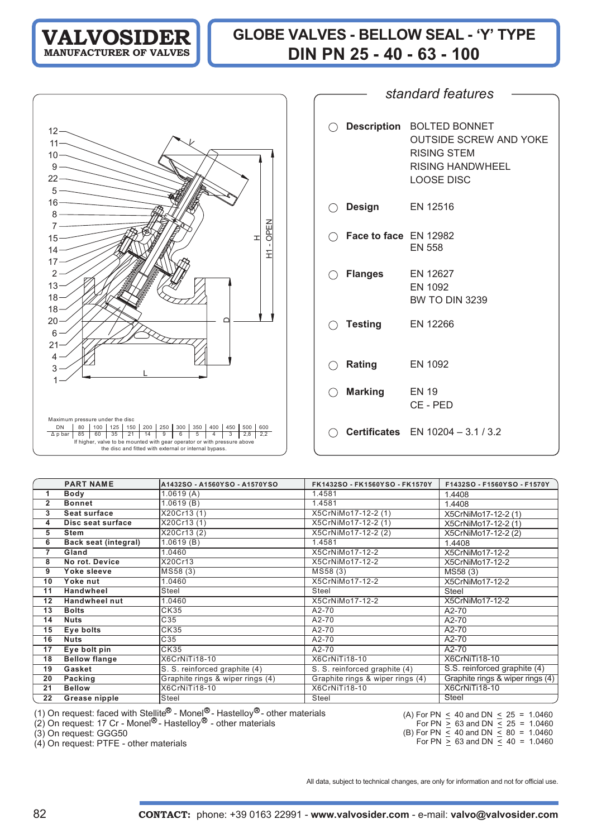## **GLOBE VALVES - BELLOW SEAL - 'Y' TYPE DIN PN 25 - 40 - 63 - 100**

| $12 -$                          |    |                                                                                |                  |              |                                                       |   |   |   |                |     |     |           |
|---------------------------------|----|--------------------------------------------------------------------------------|------------------|--------------|-------------------------------------------------------|---|---|---|----------------|-----|-----|-----------|
| 11                              |    |                                                                                |                  |              |                                                       |   |   |   |                |     |     |           |
| 10 <sup>1</sup>                 |    |                                                                                |                  |              |                                                       |   |   |   |                |     |     |           |
| 9                               |    |                                                                                |                  |              |                                                       |   |   |   |                |     |     |           |
| $22 -$                          |    | $\overline{\phantom{0}}$                                                       |                  |              |                                                       |   |   |   |                |     |     |           |
| 5 <sup>5</sup>                  |    |                                                                                |                  |              |                                                       |   |   |   |                |     |     |           |
| $16 -$                          |    | $\overbrace{\phantom{aaaaa}}^{ }$                                              |                  |              |                                                       |   |   |   |                |     |     |           |
| 8                               |    | the control of the control of the control of                                   |                  |              |                                                       |   |   |   |                |     |     |           |
| 7                               |    |                                                                                |                  |              |                                                       |   |   |   |                |     |     |           |
| $15$ ——                         |    |                                                                                |                  |              |                                                       |   |   |   |                |     |     | ェ         |
| $14 -$                          |    |                                                                                |                  |              |                                                       |   |   |   |                |     |     | H1 - OPEN |
|                                 |    |                                                                                |                  |              |                                                       |   |   |   |                |     |     |           |
| 17                              |    |                                                                                |                  |              |                                                       |   |   |   |                |     |     |           |
| $2 \cdot$                       |    |                                                                                |                  |              |                                                       |   |   |   |                |     |     |           |
| $13 -$                          |    |                                                                                |                  |              |                                                       |   |   |   |                |     |     |           |
| $18 -$                          |    |                                                                                |                  |              |                                                       |   |   |   |                |     |     |           |
| $18 -$                          |    |                                                                                |                  |              |                                                       |   |   |   |                |     |     |           |
| $20 -$                          |    |                                                                                |                  |              |                                                       |   |   |   |                |     |     |           |
| $6 -$                           |    |                                                                                |                  |              |                                                       |   |   |   |                |     |     |           |
| 21                              |    |                                                                                |                  |              |                                                       |   |   |   |                |     |     |           |
| 4                               |    |                                                                                |                  |              |                                                       |   |   |   |                |     |     |           |
| 3                               |    |                                                                                |                  |              |                                                       |   |   |   |                |     |     |           |
| 1                               |    |                                                                                |                  |              |                                                       |   |   |   |                |     |     |           |
|                                 |    |                                                                                |                  |              |                                                       |   |   |   |                |     |     |           |
|                                 |    |                                                                                |                  |              |                                                       |   |   |   |                |     |     |           |
| Maximum pressure under the disc |    |                                                                                |                  |              |                                                       |   |   |   |                |     |     |           |
| DN                              | 80 |                                                                                |                  |              | 100   125   150   200   250   300   350   400         |   |   |   |                | 450 | 500 | 600       |
| $\Delta p$ bar                  | 85 | 60<br>If higher, valve to be mounted with gear operator or with pressure above | $\vert 35 \vert$ | $21 \mid 14$ |                                                       | 9 | 6 | 5 | $\overline{4}$ | 3   | 2,8 | 2,2       |
|                                 |    |                                                                                |                  |              | the disc and fitted with external or internal bypass. |   |   |   |                |     |     |           |

|                                  | standard features                                                                                                           |
|----------------------------------|-----------------------------------------------------------------------------------------------------------------------------|
| $\bigcirc$ Description           | <b>BOLTED BONNET</b><br><b>OUTSIDE SCREW AND YOKE</b><br><b>RISING STEM</b><br><b>RISING HANDWHEEL</b><br><b>LOOSE DISC</b> |
| ◯ Design                         | EN 12516                                                                                                                    |
| $\bigcirc$ Face to face EN 12982 | <b>EN 558</b>                                                                                                               |
| $\bigcirc$ Flanges               | EN 12627<br><b>EN 1092</b><br><b>BW TO DIN 3239</b>                                                                         |
| $\bigcirc$ Testing               | EN 12266                                                                                                                    |
| $\bigcirc$ Rating                | EN 1092                                                                                                                     |
| $\bigcirc$ Marking               | <b>EN 19</b><br>CE-PED                                                                                                      |
|                                  | <b>Certificates</b> $EN 10204 - 3.1 / 3.2$                                                                                  |

|                | <b>PART NAME</b>     | A1432SO - A1560YSO - A1570YSO    | FK1432SO - FK1560YSO - FK1570Y   | F1432SO - F1560YSO - F1570Y      |
|----------------|----------------------|----------------------------------|----------------------------------|----------------------------------|
| 1              | Body                 | 1.0619(A)                        | 1.4581                           | 1.4408                           |
| $\overline{2}$ | <b>Bonnet</b>        | 1.0619(B)                        | 1.4581                           | 1.4408                           |
| 3              | <b>Seat surface</b>  | X20Cr13 (1)                      | X5CrNiMo17-12-2 (1)              | X5CrNiMo17-12-2 (1)              |
| 4              | Disc seat surface    | X20Cr13 (1)                      | X5CrNiMo17-12-2 (1)              | X5CrNiMo17-12-2 (1)              |
| 5              | <b>Stem</b>          | X20Cr13(2)                       | X5CrNiMo17-12-2 (2)              | X5CrNiMo17-12-2 (2)              |
| 6              | Back seat (integral) | 1.0619(B)                        | 1.4581                           | 1.4408                           |
| 7              | Gland                | 1.0460                           | X5CrNiMo17-12-2                  | X5CrNiMo17-12-2                  |
| 8              | No rot. Device       | X20Cr13                          | X5CrNiMo17-12-2                  | X5CrNiMo17-12-2                  |
| 9              | Yoke sleeve          | MS58 (3)                         | MS58 (3)                         | MS58 (3)                         |
| 10             | Yoke nut             | 1.0460                           | X5CrNiMo17-12-2                  | X5CrNiMo17-12-2                  |
| 11             | Handwheel            | Steel                            | Steel                            | Steel                            |
| 12             | <b>Handwheel nut</b> | 1.0460                           | X5CrNiMo17-12-2                  | X5CrNiMo17-12-2                  |
| 13             | <b>Bolts</b>         | CK35                             | A2-70                            | A2-70                            |
| 14             | <b>Nuts</b>          | C35                              | $A2-70$                          | A2-70                            |
| 15             | Eye bolts            | CK35                             | A2-70                            | A2-70                            |
| 16             | <b>Nuts</b>          | C35                              | A2-70                            | A2-70                            |
| 17             | Eye bolt pin         | CK35                             | A2-70                            | A2-70                            |
| 18             | <b>Bellow flange</b> | X6CrNiTi18-10                    | X6CrNiTi18-10                    | X6CrNiTi18-10                    |
| 19             | Gasket               | S. S. reinforced graphite (4)    | S. S. reinforced graphite (4)    | S.S. reinforced graphite (4)     |
| 20             | Packing              | Graphite rings & wiper rings (4) | Graphite rings & wiper rings (4) | Graphite rings & wiper rings (4) |
| 21             | <b>Bellow</b>        | <b>X6CrNiTi18-10</b>             | X6CrNiTi18-10                    | X6CrNiTi18-10                    |
| 22             | Grease nipple        | Steel                            | Steel                            | Steel                            |

(1) On request: faced with Stellite<sup>ty</sup> - Monel<sup>ov</sup> - Hastelloy<sup>ov</sup> - other materials

(2) On request: 17 Cr - Monel<sup>w</sup> - Hastelloy<sup>w</sup> - other materials

(3) On request: GGG50

(4) On request: PTFE - other materials

(A) For PN  $\leq$  40 and DN  $\leq$  25 = 1.0460 For PN  $\geq 63$  and DN  $\leq 25$  = <u>></u> 63 and DN <u><</u> 1.0460

(B) For PN  $\leq$  40 and DN  $\leq$  80 = For PN  $\geq$  63 and DN  $\leq$  40 = <u><</u> 40 and DN <u><</u>  $\geq 63$  and DN  $\leq$ 1.0460 1.0460

All data, subject to technical changes, are only for information and not for official use.